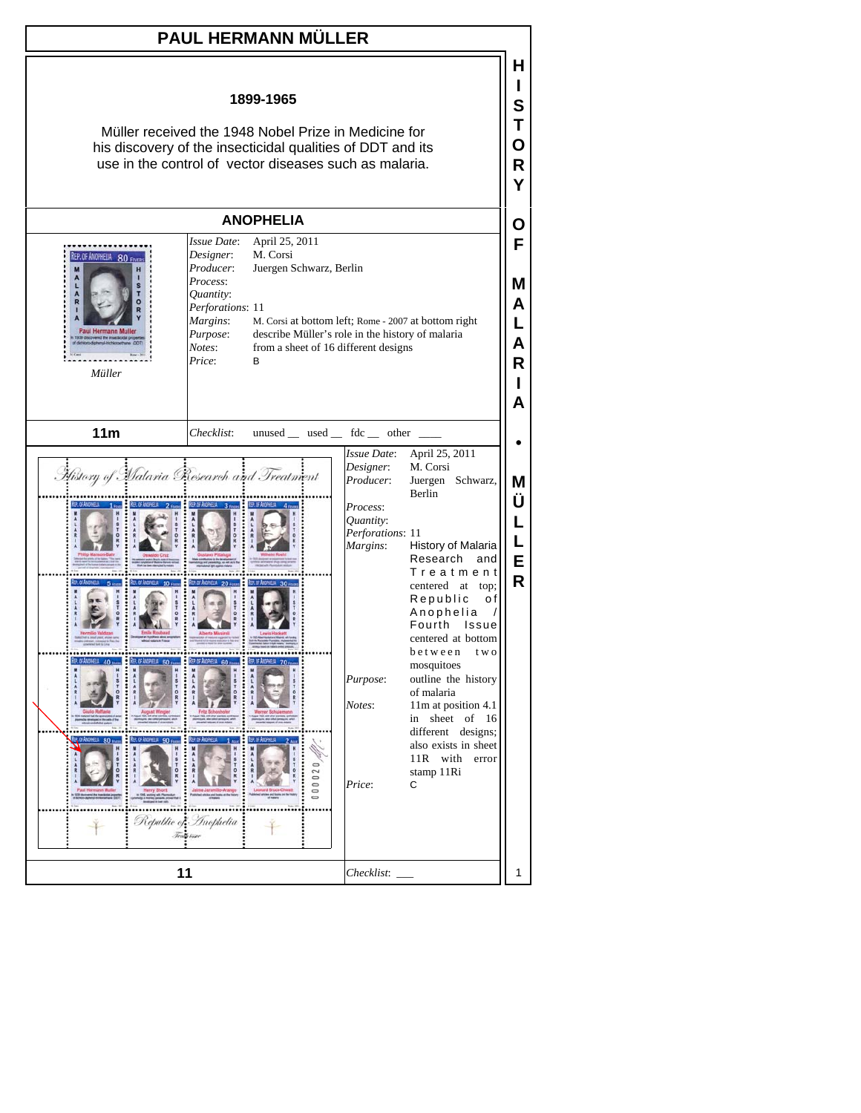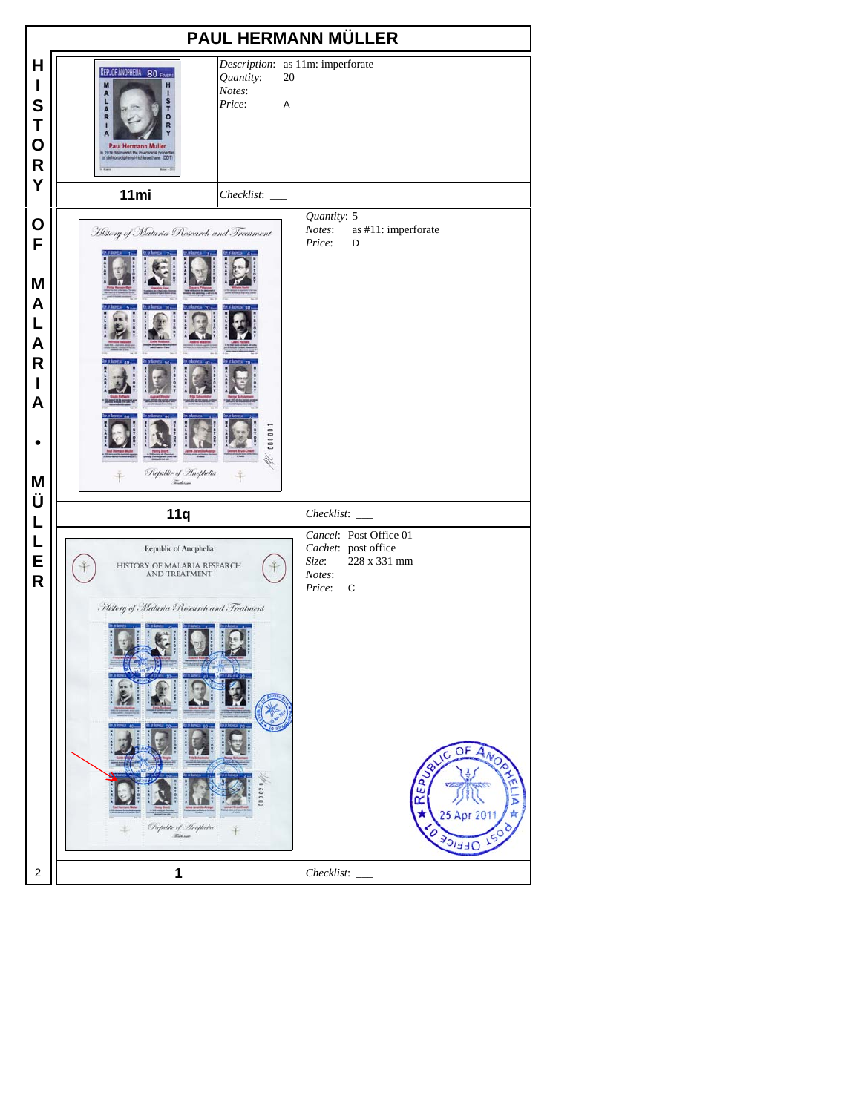|                                                                          | <b>PAUL HERMANN MÜLLER</b>                                                                                                                                                                                                                                                                               |                                                                                                                                                                               |
|--------------------------------------------------------------------------|----------------------------------------------------------------------------------------------------------------------------------------------------------------------------------------------------------------------------------------------------------------------------------------------------------|-------------------------------------------------------------------------------------------------------------------------------------------------------------------------------|
| н<br>I<br>S<br>T<br>$\mathbf O$<br>$\mathsf{R}$<br>Y                     | Description: as 11m: imperforate<br>REP. OF ANOPHELIA 80 FEVERS<br>Quantity:<br>20<br>H<br>м<br>Notes:<br>A<br>1<br>S<br>L<br>Price:<br>A<br>τ<br>o<br>R<br><b>Paul Hermann Muller</b><br>1939 discovered the insectiousl properties<br>of dictions-diphenyl-trichlorominane (DDT)<br>11mi<br>Checklist: |                                                                                                                                                                               |
| $\mathbf 0$<br>F<br>M<br>A<br>L<br>A<br>$\mathsf{R}$<br>I<br>A<br>M<br>Ü | History of Malaria Research and Treatment<br>00000<br>Republic of Inophelia<br>Final care                                                                                                                                                                                                                | Quantity: 5<br>Notes:<br>as #11: imperforate<br>Price:<br>D                                                                                                                   |
|                                                                          | 11q                                                                                                                                                                                                                                                                                                      | Checklist: ____                                                                                                                                                               |
| L<br>L<br>E<br>$\overline{\mathsf{R}}$                                   | Republic of Anophelia<br>HISTORY OF MALARIA RESEARCH<br>AND TREATMENT<br>History of Malaria Research and Treatment<br>000207<br>Republic of Inophelia<br>Fiel Law                                                                                                                                        | Cancel: Post Office 01<br>Cachet: post office<br>228 x 331 mm<br>Size:<br>Notes:<br>Price:<br>$\mathsf{C}$<br>OF<br>$A_{N_{O}}$<br>TC<br>E <sub>P</sub><br>œ<br>25 Apr<br>201 |
|                                                                          |                                                                                                                                                                                                                                                                                                          | OFFICE                                                                                                                                                                        |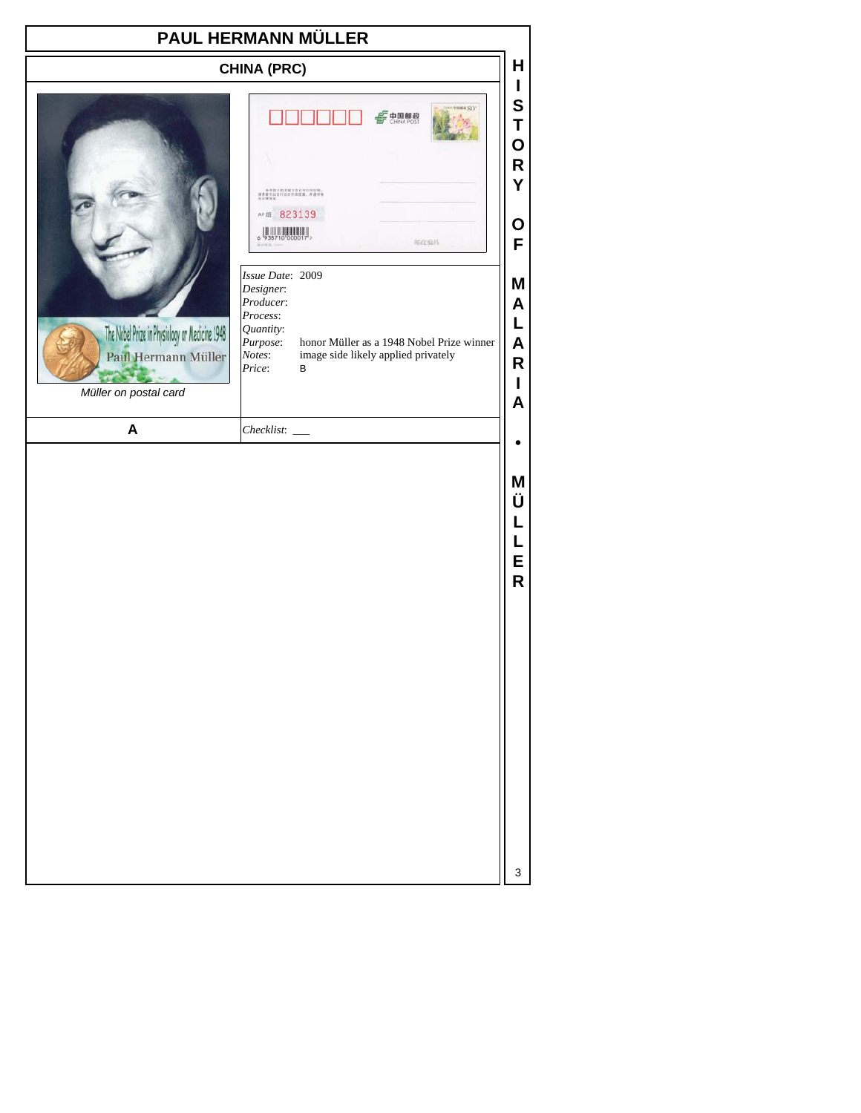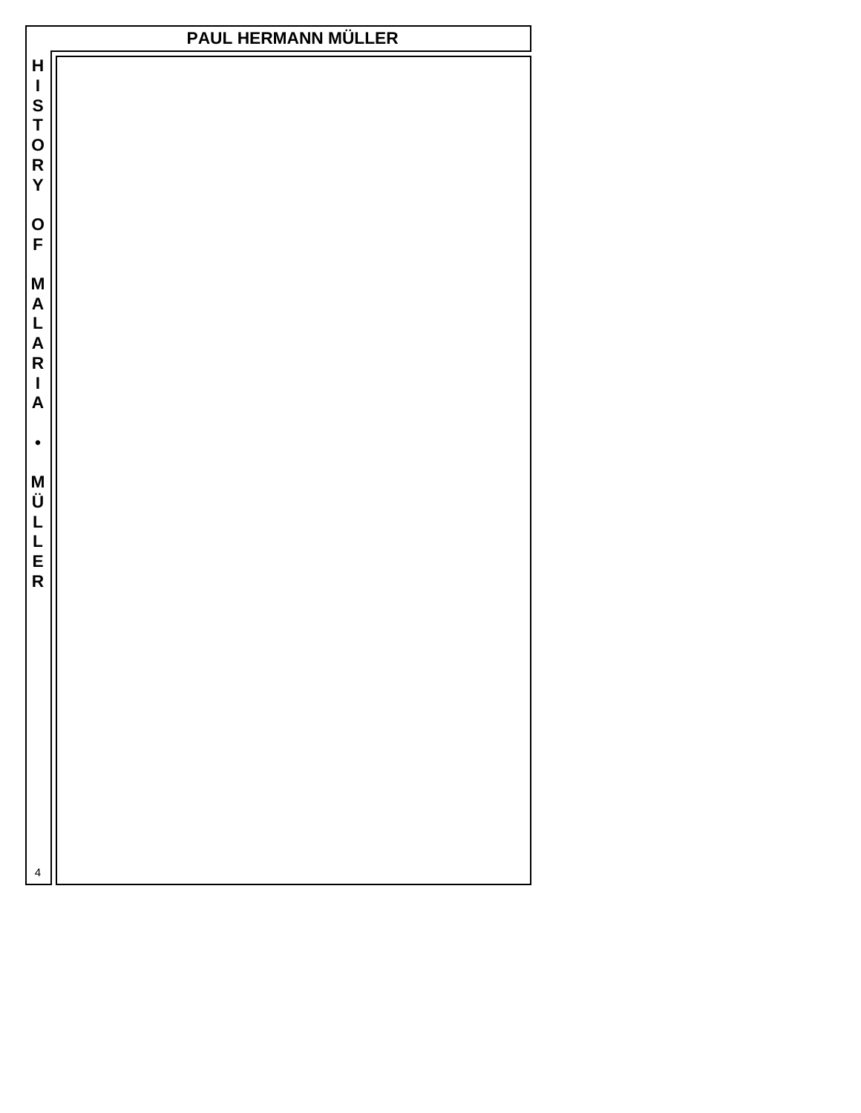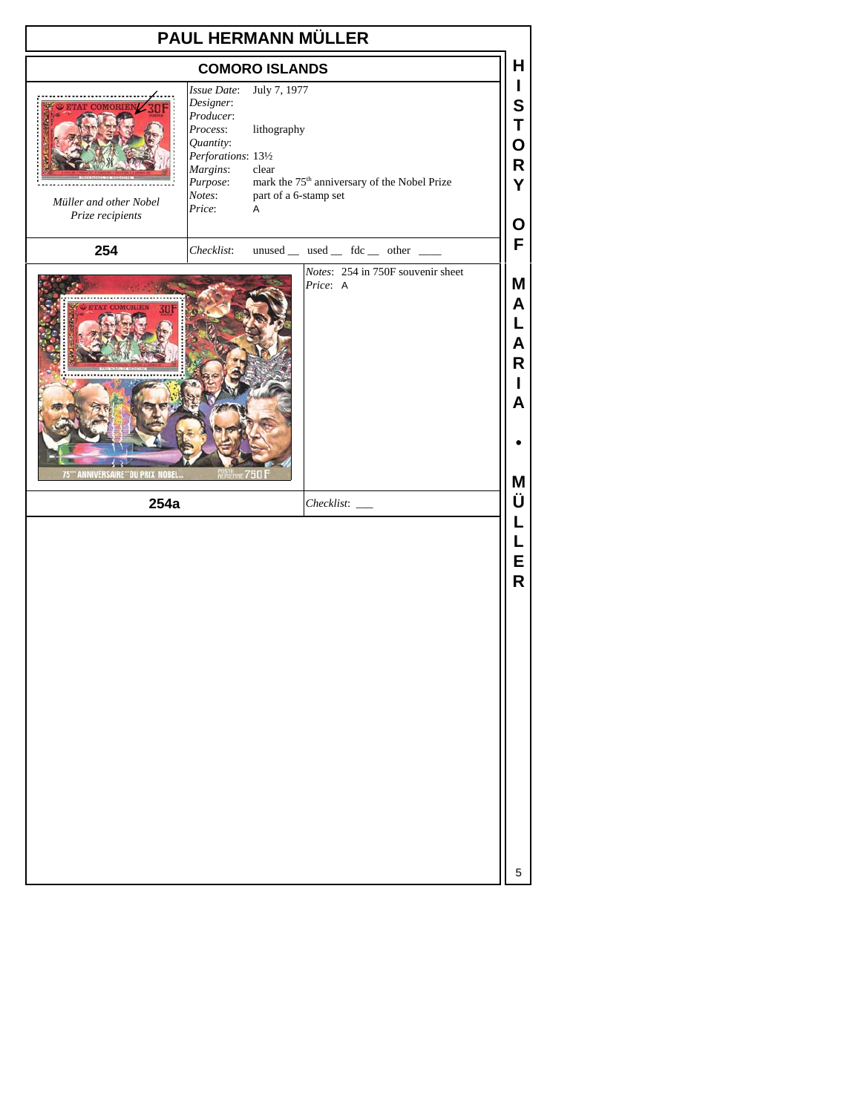|                                            |                                                                                                                                   | <b>PAUL HERMANN MÜLLER</b>                                         |                                                          |
|--------------------------------------------|-----------------------------------------------------------------------------------------------------------------------------------|--------------------------------------------------------------------|----------------------------------------------------------|
|                                            |                                                                                                                                   | <b>COMORO ISLANDS</b>                                              |                                                          |
| Müller and other Nobel<br>Prize recipients | Issue Date:<br>Designer:<br>Producer:<br>Process:<br>Quantity:<br>Perforations: 131/2<br>Margins:<br>Purpose:<br>Notes:<br>Price: | July 7, 1977<br>lithography<br>clear<br>part of a 6-stamp set<br>A | mark the 75 <sup>th</sup> anniversary of the Nobel Prize |
| 254                                        | Checklist:                                                                                                                        |                                                                    | $unused$ __ used __ fdc __ other __                      |
| 75''' ANNIVERSAIRE''DU PRIX NOBEL          |                                                                                                                                   | Price: A                                                           | Notes: 254 in 750F souvenir sheet                        |
| 254a                                       |                                                                                                                                   |                                                                    | Checklist:                                               |
|                                            |                                                                                                                                   |                                                                    |                                                          |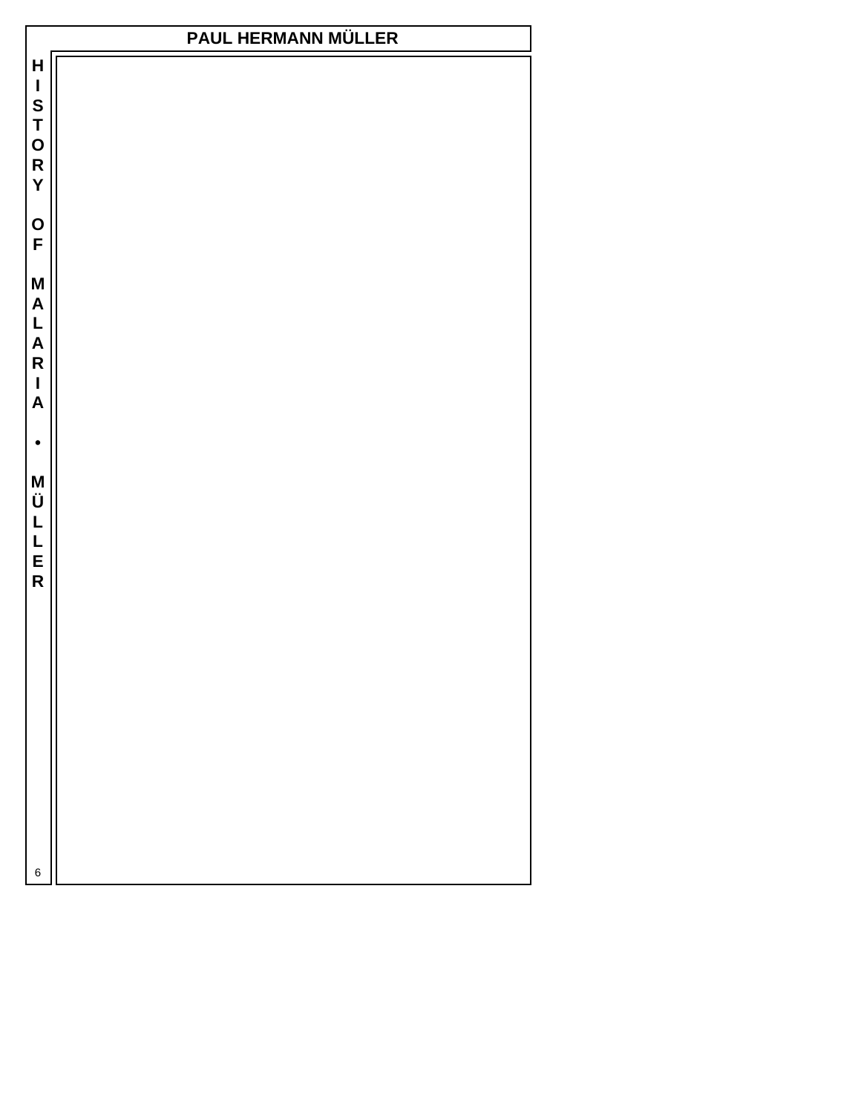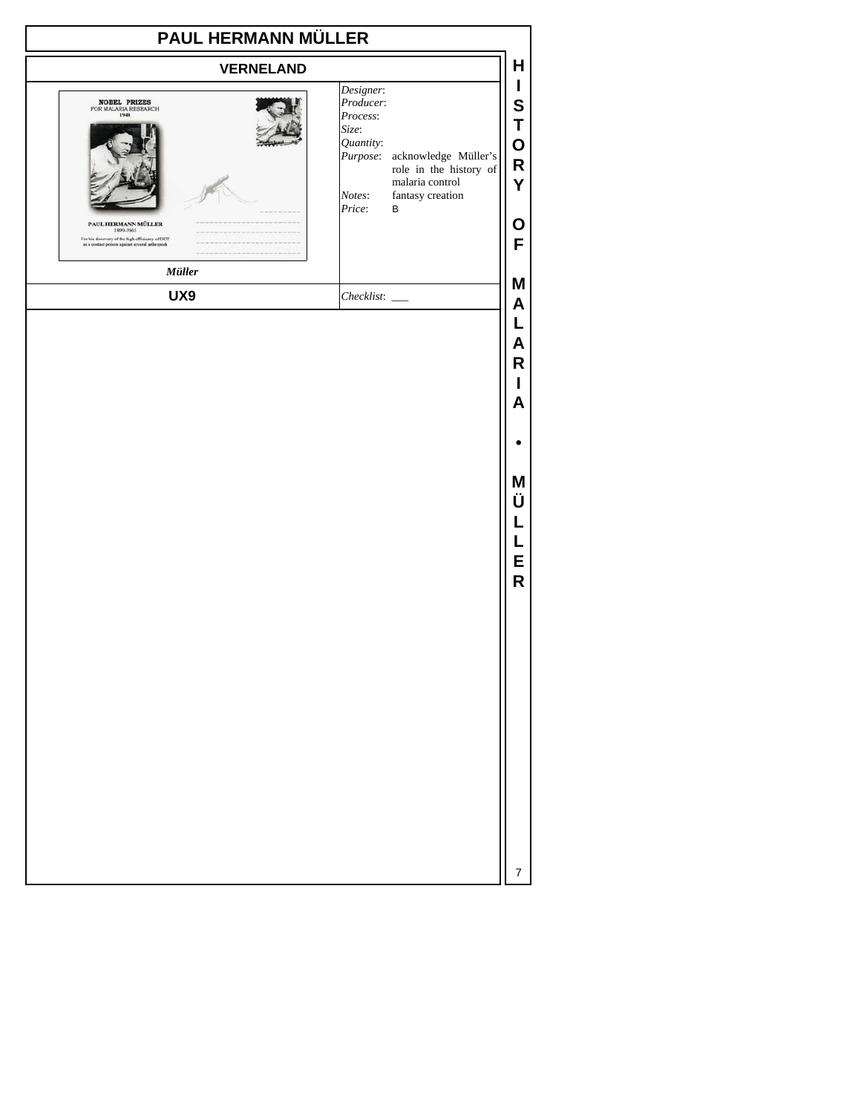| <b>VERNELAND</b>                                                                                                                                                                                                                                                                                |                                                                                          |                                                                                            |  |  |
|-------------------------------------------------------------------------------------------------------------------------------------------------------------------------------------------------------------------------------------------------------------------------------------------------|------------------------------------------------------------------------------------------|--------------------------------------------------------------------------------------------|--|--|
| $\begin{array}{c} \textbf{NOBEL} \textbf{ PRIZES} \\ \textbf{FOR MALARIA RESEARCH} \\ \textbf{1948} \end{array}$<br>PAUL HERMANN MÜLLER<br>1899-1965<br>For his discovery of the high efficiency of DDT $% \left( \left\{ 0.013\right\} \right)$ as a contact poison against several arthropods | Designer:<br>Producer:<br>Process:<br>Size:<br>Quantity:<br>Purpose:<br>Notes:<br>Price: | acknowledge Müller's<br>role in the history of<br>malaria control<br>fantasy creation<br>В |  |  |
| Müller<br>UX9                                                                                                                                                                                                                                                                                   | $Checklist:$ $\_\_$                                                                      |                                                                                            |  |  |
|                                                                                                                                                                                                                                                                                                 |                                                                                          |                                                                                            |  |  |
|                                                                                                                                                                                                                                                                                                 |                                                                                          |                                                                                            |  |  |
|                                                                                                                                                                                                                                                                                                 |                                                                                          |                                                                                            |  |  |
|                                                                                                                                                                                                                                                                                                 |                                                                                          |                                                                                            |  |  |
|                                                                                                                                                                                                                                                                                                 |                                                                                          |                                                                                            |  |  |
|                                                                                                                                                                                                                                                                                                 |                                                                                          |                                                                                            |  |  |
|                                                                                                                                                                                                                                                                                                 |                                                                                          |                                                                                            |  |  |
|                                                                                                                                                                                                                                                                                                 |                                                                                          |                                                                                            |  |  |
|                                                                                                                                                                                                                                                                                                 |                                                                                          |                                                                                            |  |  |
|                                                                                                                                                                                                                                                                                                 |                                                                                          |                                                                                            |  |  |
|                                                                                                                                                                                                                                                                                                 |                                                                                          |                                                                                            |  |  |
|                                                                                                                                                                                                                                                                                                 |                                                                                          |                                                                                            |  |  |
|                                                                                                                                                                                                                                                                                                 |                                                                                          |                                                                                            |  |  |
|                                                                                                                                                                                                                                                                                                 |                                                                                          |                                                                                            |  |  |
|                                                                                                                                                                                                                                                                                                 |                                                                                          |                                                                                            |  |  |
|                                                                                                                                                                                                                                                                                                 |                                                                                          |                                                                                            |  |  |
|                                                                                                                                                                                                                                                                                                 |                                                                                          |                                                                                            |  |  |